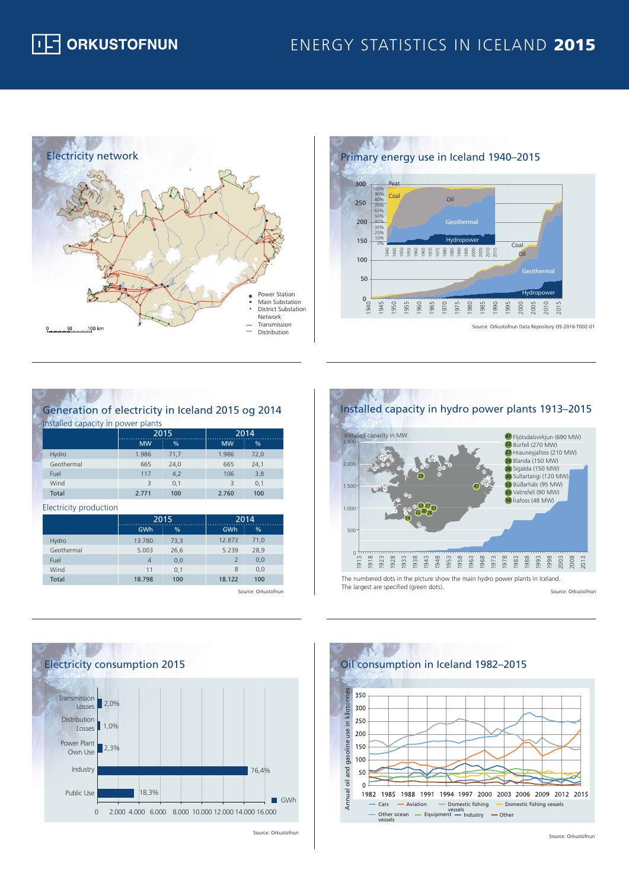## ENERGY STATISTICS IN ICELAND 2015





## Generation of electricity in Iceland 2015 og 2014 Installed capacity in power plants

|              |           | 2015   |           | 2014 |  |
|--------------|-----------|--------|-----------|------|--|
|              | <b>MW</b> | t<br>% | <b>MW</b> | %    |  |
| Hydro        | 1.986     | 71.7   | 1.986     | 72,0 |  |
| Geothermal   | 665       | 24.0   | 665       | 24,1 |  |
| Fuel         | 117       | 4,2    | 106       | 3,8  |  |
| Wind         | 3         | 0,1    |           | 0,1  |  |
| <b>Total</b> | 2.771     | 100    | 2.760     | 100  |  |

Electricity production

|              | 2015           |        | 2014                            |      |
|--------------|----------------|--------|---------------------------------|------|
|              | GWh            | ÷<br>% | GWh<br>÷                        | %    |
| Hydro        | 13.780         | 73,3   | 12.873                          | 71.0 |
| Geothermal   | 5.003          | 26,6   | 5.239                           | 28,9 |
| Fuel         | $\overline{4}$ | 0.0    | $\overline{2}$<br>$\mathcal{L}$ | 0,0  |
| Wind         | 11             | 0.1    | 8                               | 0,0  |
| <b>Total</b> | 18.798         | 100    | 18.122                          | 100  |

Source: Orkustofnun



Source: Orkustofnun



Source: Orkustofnun